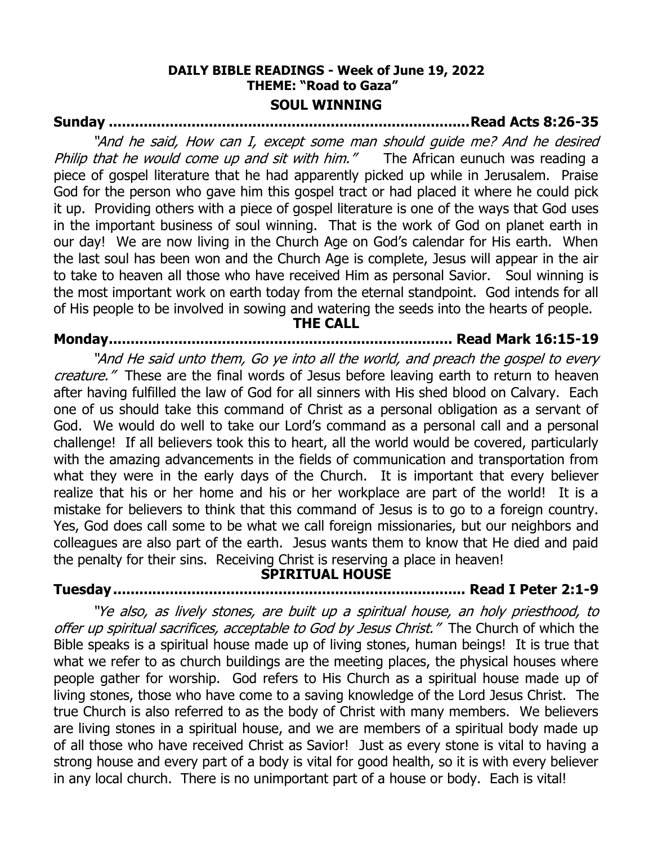## **DAILY BIBLE READINGS - Week of June 19, 2022 THEME: "Road to Gaza" SOUL WINNING**

# **Sunday ...................................................................................Read Acts 8:26-35**

"And he said, How can I, except some man should guide me? And he desired Philip that he would come up and sit with him." The African eunuch was reading a piece of gospel literature that he had apparently picked up while in Jerusalem. Praise God for the person who gave him this gospel tract or had placed it where he could pick it up. Providing others with a piece of gospel literature is one of the ways that God uses in the important business of soul winning. That is the work of God on planet earth in our day! We are now living in the Church Age on God's calendar for His earth. When the last soul has been won and the Church Age is complete, Jesus will appear in the air to take to heaven all those who have received Him as personal Savior. Soul winning is the most important work on earth today from the eternal standpoint. God intends for all of His people to be involved in sowing and watering the seeds into the hearts of people. **THE CALL**

# **Monday............................................................................... Read Mark 16:15-19**

"And He said unto them, Go ye into all the world, and preach the gospel to every creature." These are the final words of Jesus before leaving earth to return to heaven after having fulfilled the law of God for all sinners with His shed blood on Calvary. Each one of us should take this command of Christ as a personal obligation as a servant of God. We would do well to take our Lord's command as a personal call and a personal challenge! If all believers took this to heart, all the world would be covered, particularly with the amazing advancements in the fields of communication and transportation from what they were in the early days of the Church. It is important that every believer realize that his or her home and his or her workplace are part of the world! It is a mistake for believers to think that this command of Jesus is to go to a foreign country. Yes, God does call some to be what we call foreign missionaries, but our neighbors and colleagues are also part of the earth. Jesus wants them to know that He died and paid the penalty for their sins. Receiving Christ is reserving a place in heaven!

## **SPIRITUAL HOUSE**

# **Tuesday................................................................................. Read I Peter 2:1-9**

"Ye also, as lively stones, are built up a spiritual house, an holy priesthood, to offer up spiritual sacrifices, acceptable to God by Jesus Christ." The Church of which the Bible speaks is a spiritual house made up of living stones, human beings! It is true that what we refer to as church buildings are the meeting places, the physical houses where people gather for worship. God refers to His Church as a spiritual house made up of living stones, those who have come to a saving knowledge of the Lord Jesus Christ. The true Church is also referred to as the body of Christ with many members. We believers are living stones in a spiritual house, and we are members of a spiritual body made up of all those who have received Christ as Savior! Just as every stone is vital to having a strong house and every part of a body is vital for good health, so it is with every believer in any local church. There is no unimportant part of a house or body. Each is vital!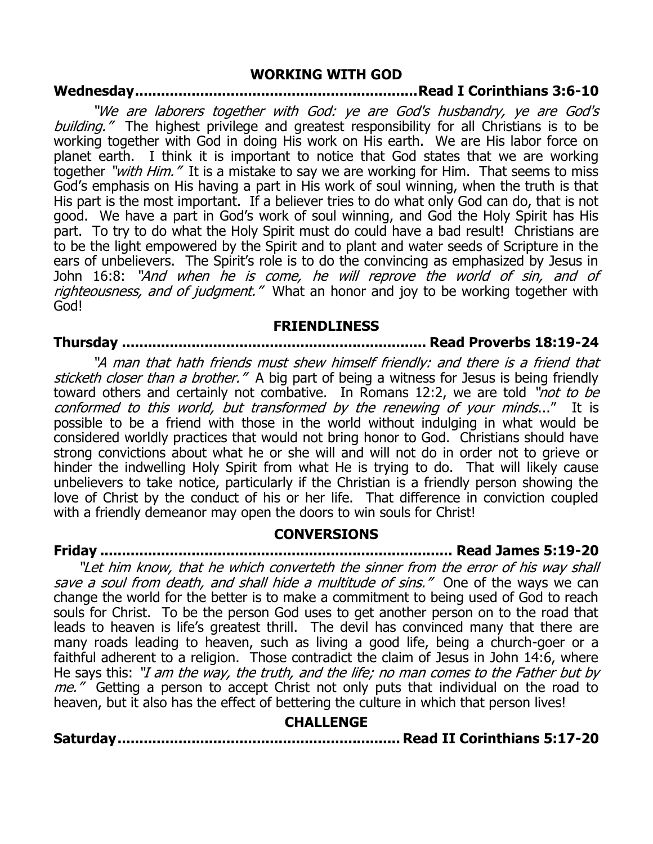### **WORKING WITH GOD**

# **Wednesday.................................................................Read I Corinthians 3:6-10**

"We are laborers together with God: ye are God's husbandry, ye are God's building." The highest privilege and greatest responsibility for all Christians is to be working together with God in doing His work on His earth. We are His labor force on planet earth. I think it is important to notice that God states that we are working together "with Him." It is a mistake to say we are working for Him. That seems to miss God's emphasis on His having a part in His work of soul winning, when the truth is that His part is the most important. If a believer tries to do what only God can do, that is not good. We have a part in God's work of soul winning, and God the Holy Spirit has His part. To try to do what the Holy Spirit must do could have a bad result! Christians are to be the light empowered by the Spirit and to plant and water seeds of Scripture in the ears of unbelievers. The Spirit's role is to do the convincing as emphasized by Jesus in John 16:8: "And when he is come, he will reprove the world of sin, and of righteousness, and of judgment." What an honor and joy to be working together with God!

#### **FRIENDLINESS**

# **Thursday ...................................................................... Read Proverbs 18:19-24**

"A man that hath friends must shew himself friendly: and there is a friend that sticketh closer than a brother." A big part of being a witness for Jesus is being friendly toward others and certainly not combative. In Romans 12:2, we are told "not to be conformed to this world, but transformed by the renewing of your minds..." It is possible to be a friend with those in the world without indulging in what would be considered worldly practices that would not bring honor to God. Christians should have strong convictions about what he or she will and will not do in order not to grieve or hinder the indwelling Holy Spirit from what He is trying to do. That will likely cause unbelievers to take notice, particularly if the Christian is a friendly person showing the love of Christ by the conduct of his or her life. That difference in conviction coupled with a friendly demeanor may open the doors to win souls for Christ!

# **CONVERSIONS**

**Friday ................................................................................. Read James 5:19-20**

"Let him know, that he which converteth the sinner from the error of his way shall save a soul from death, and shall hide a multitude of sins." One of the ways we can change the world for the better is to make a commitment to being used of God to reach souls for Christ. To be the person God uses to get another person on to the road that leads to heaven is life's greatest thrill. The devil has convinced many that there are many roads leading to heaven, such as living a good life, being a church-goer or a faithful adherent to a religion. Those contradict the claim of Jesus in John 14:6, where He says this: "I am the way, the truth, and the life; no man comes to the Father but by me." Getting a person to accept Christ not only puts that individual on the road to heaven, but it also has the effect of bettering the culture in which that person lives!

## **CHALLENGE**

**Saturday................................................................. Read II Corinthians 5:17-20**